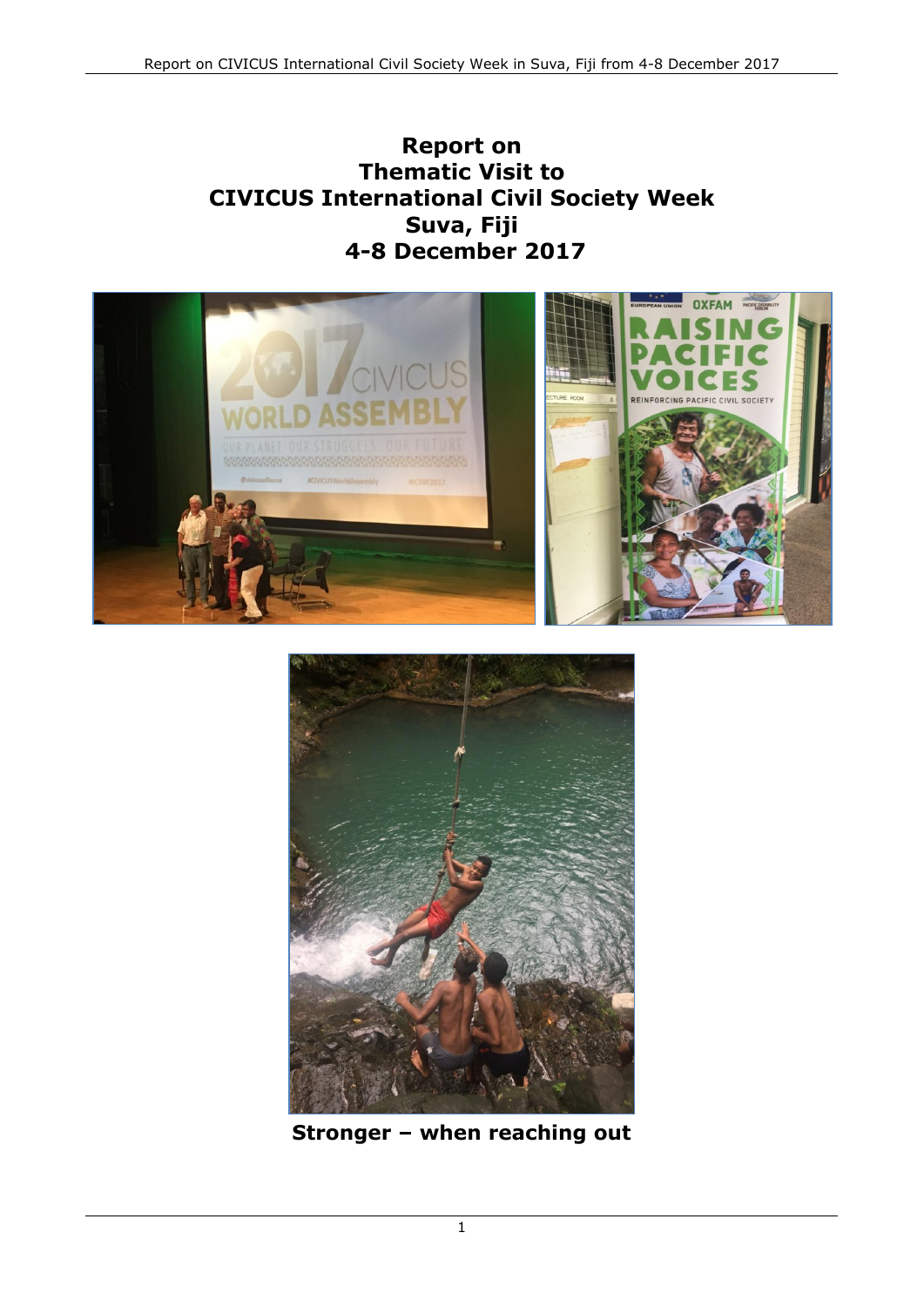# **Report on Thematic Visit to CIVICUS International Civil Society Week Suva, Fiji 4-8 December 2017**





**Stronger – when reaching out**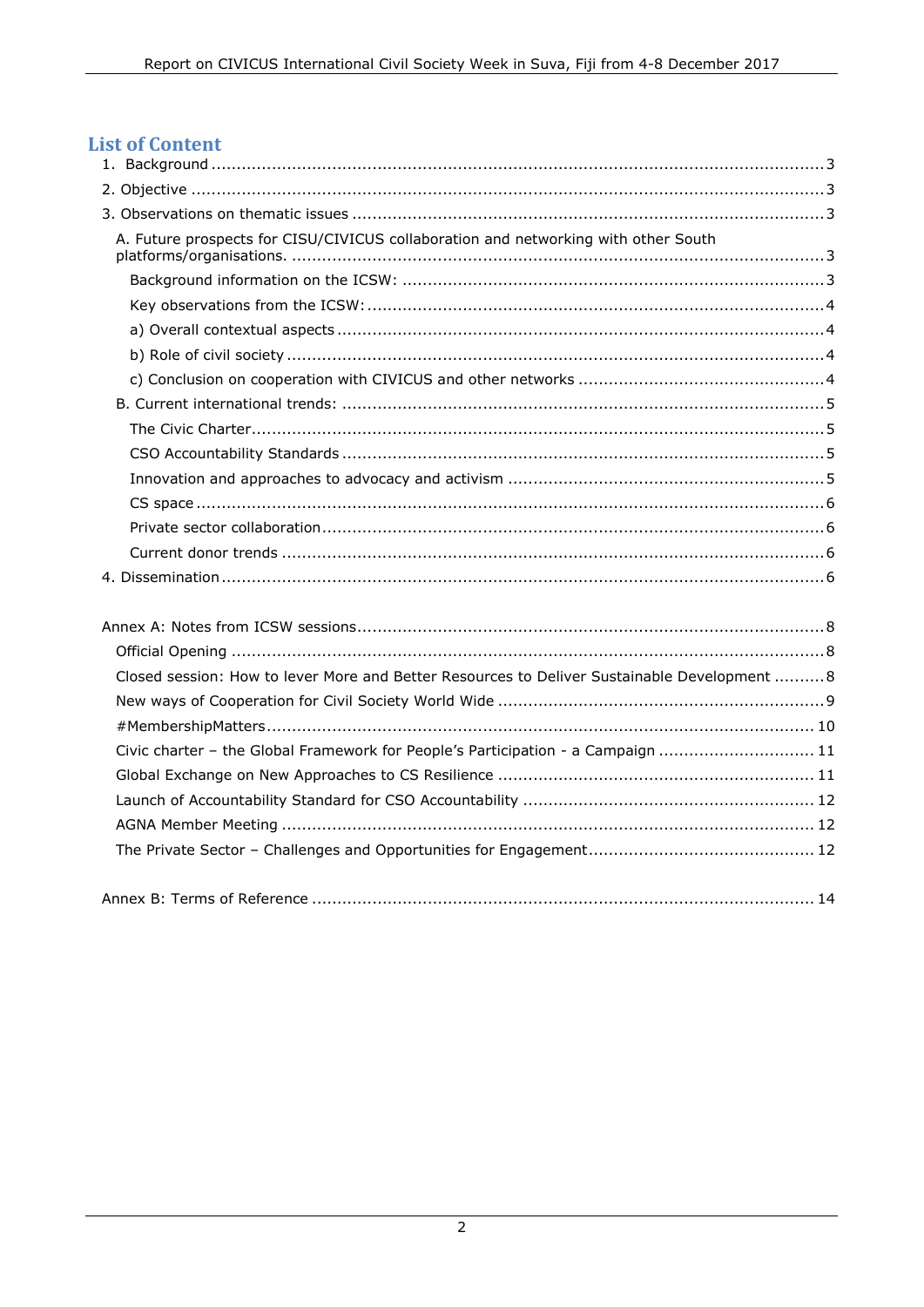# **List of Content**

| A. Future prospects for CISU/CIVICUS collaboration and networking with other South           |
|----------------------------------------------------------------------------------------------|
|                                                                                              |
|                                                                                              |
|                                                                                              |
|                                                                                              |
|                                                                                              |
|                                                                                              |
|                                                                                              |
|                                                                                              |
|                                                                                              |
|                                                                                              |
|                                                                                              |
|                                                                                              |
|                                                                                              |
|                                                                                              |
|                                                                                              |
| Closed session: How to lever More and Better Resources to Deliver Sustainable Development  8 |
|                                                                                              |
|                                                                                              |
| Civic charter - the Global Framework for People's Participation - a Campaign  11             |
|                                                                                              |
|                                                                                              |
|                                                                                              |
|                                                                                              |

<span id="page-1-0"></span>

|--|--|--|--|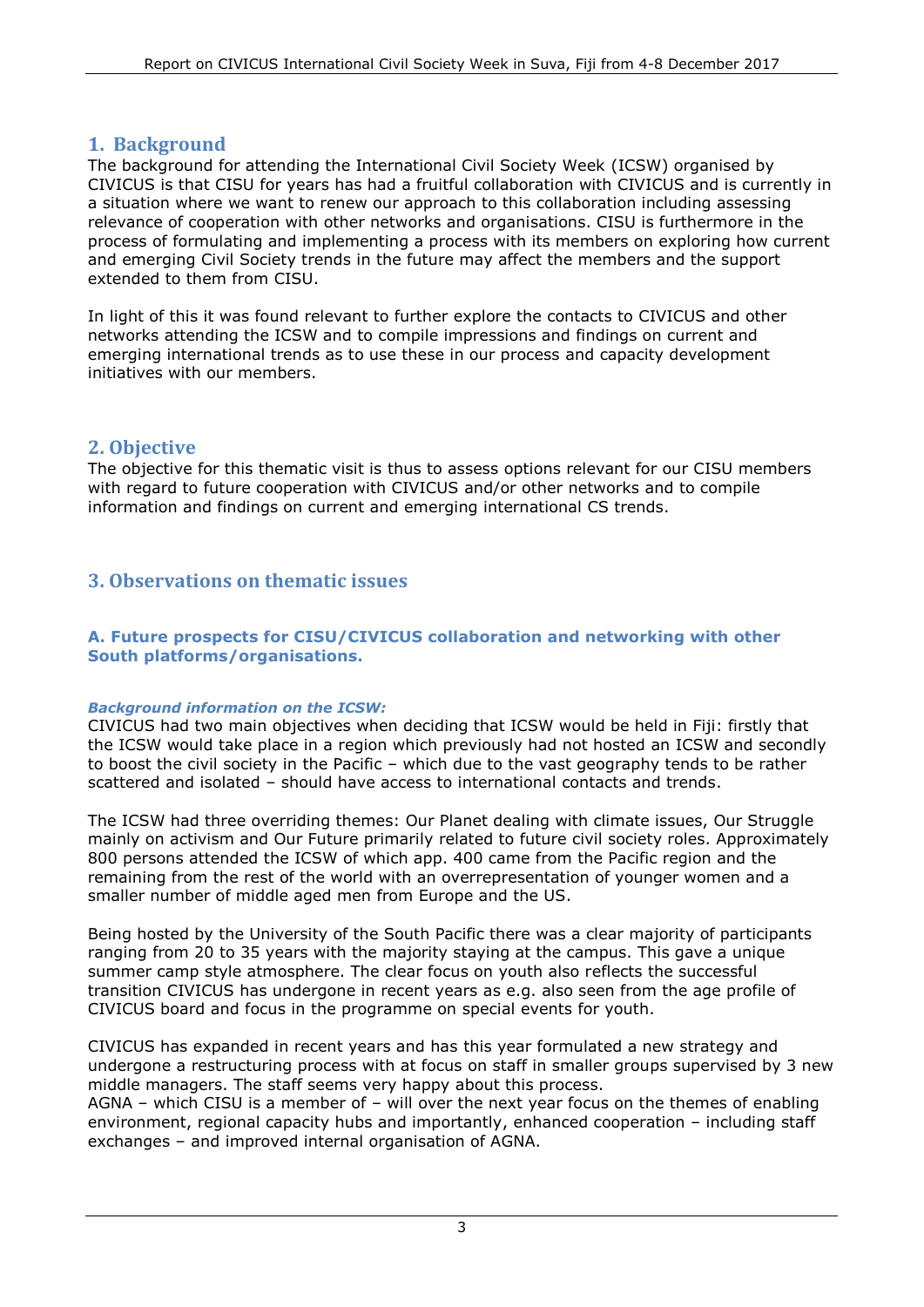## **1. Background**

The background for attending the International Civil Society Week (ICSW) organised by CIVICUS is that CISU for years has had a fruitful collaboration with CIVICUS and is currently in a situation where we want to renew our approach to this collaboration including assessing relevance of cooperation with other networks and organisations. CISU is furthermore in the process of formulating and implementing a process with its members on exploring how current and emerging Civil Society trends in the future may affect the members and the support extended to them from CISU.

In light of this it was found relevant to further explore the contacts to CIVICUS and other networks attending the ICSW and to compile impressions and findings on current and emerging international trends as to use these in our process and capacity development initiatives with our members.

## <span id="page-2-0"></span>**2. Objective**

The objective for this thematic visit is thus to assess options relevant for our CISU members with regard to future cooperation with CIVICUS and/or other networks and to compile information and findings on current and emerging international CS trends.

## <span id="page-2-1"></span>**3. Observations on thematic issues**

#### <span id="page-2-2"></span>**A. Future prospects for CISU/CIVICUS collaboration and networking with other South platforms/organisations.**

#### <span id="page-2-3"></span>*Background information on the ICSW:*

CIVICUS had two main objectives when deciding that ICSW would be held in Fiji: firstly that the ICSW would take place in a region which previously had not hosted an ICSW and secondly to boost the civil society in the Pacific – which due to the vast geography tends to be rather scattered and isolated – should have access to international contacts and trends.

The ICSW had three overriding themes: Our Planet dealing with climate issues, Our Struggle mainly on activism and Our Future primarily related to future civil society roles. Approximately 800 persons attended the ICSW of which app. 400 came from the Pacific region and the remaining from the rest of the world with an overrepresentation of younger women and a smaller number of middle aged men from Europe and the US.

Being hosted by the University of the South Pacific there was a clear majority of participants ranging from 20 to 35 years with the majority staying at the campus. This gave a unique summer camp style atmosphere. The clear focus on youth also reflects the successful transition CIVICUS has undergone in recent years as e.g. also seen from the age profile of CIVICUS board and focus in the programme on special events for youth.

CIVICUS has expanded in recent years and has this year formulated a new strategy and undergone a restructuring process with at focus on staff in smaller groups supervised by 3 new middle managers. The staff seems very happy about this process.

AGNA – which CISU is a member of – will over the next year focus on the themes of enabling environment, regional capacity hubs and importantly, enhanced cooperation – including staff exchanges – and improved internal organisation of AGNA.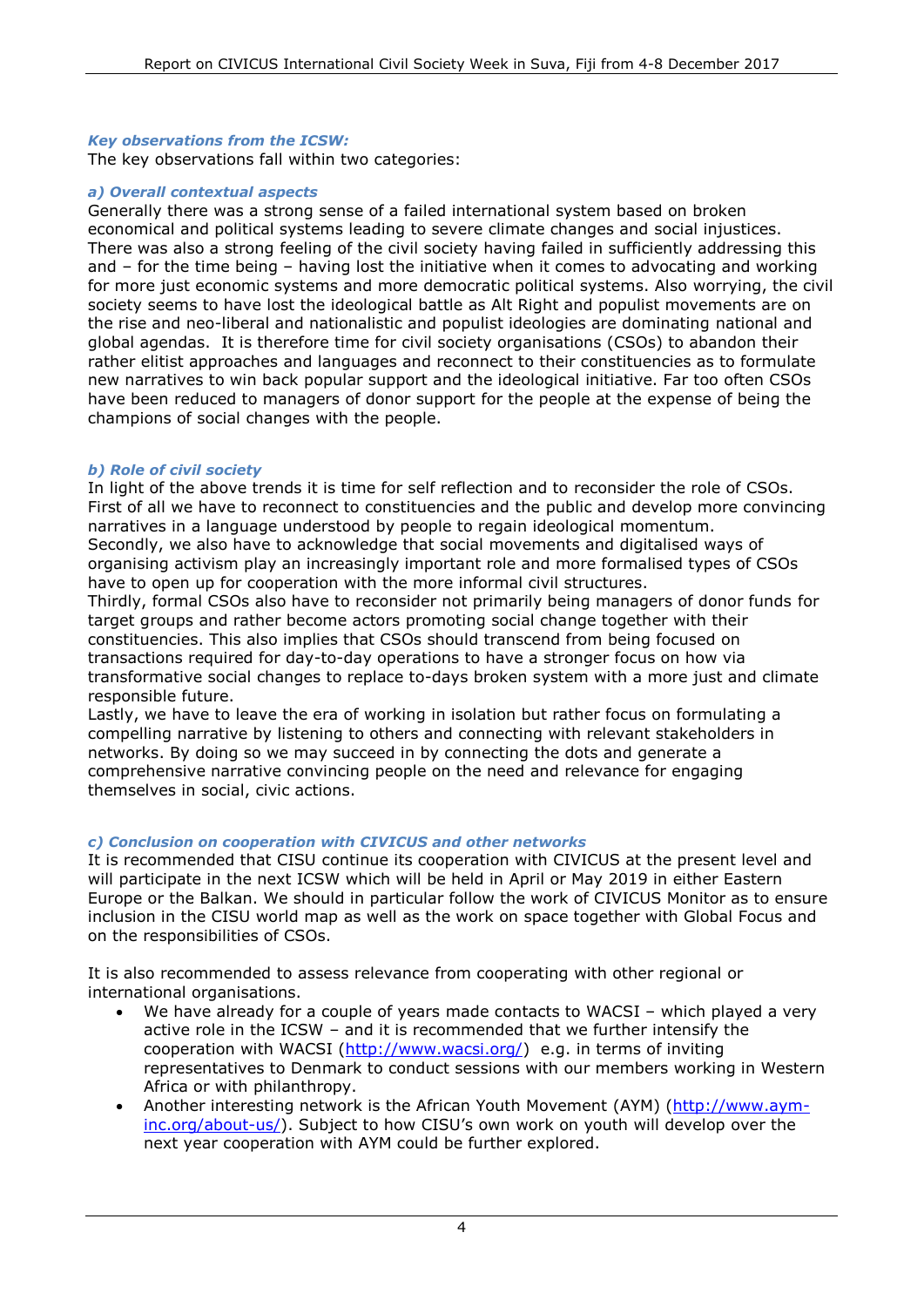#### <span id="page-3-0"></span>*Key observations from the ICSW:*

The key observations fall within two categories:

#### <span id="page-3-1"></span>*a) Overall contextual aspects*

Generally there was a strong sense of a failed international system based on broken economical and political systems leading to severe climate changes and social injustices. There was also a strong feeling of the civil society having failed in sufficiently addressing this and – for the time being – having lost the initiative when it comes to advocating and working for more just economic systems and more democratic political systems. Also worrying, the civil society seems to have lost the ideological battle as Alt Right and populist movements are on the rise and neo-liberal and nationalistic and populist ideologies are dominating national and global agendas. It is therefore time for civil society organisations (CSOs) to abandon their rather elitist approaches and languages and reconnect to their constituencies as to formulate new narratives to win back popular support and the ideological initiative. Far too often CSOs have been reduced to managers of donor support for the people at the expense of being the champions of social changes with the people.

#### <span id="page-3-2"></span>*b) Role of civil society*

In light of the above trends it is time for self reflection and to reconsider the role of CSOs. First of all we have to reconnect to constituencies and the public and develop more convincing narratives in a language understood by people to regain ideological momentum. Secondly, we also have to acknowledge that social movements and digitalised ways of organising activism play an increasingly important role and more formalised types of CSOs have to open up for cooperation with the more informal civil structures.

Thirdly, formal CSOs also have to reconsider not primarily being managers of donor funds for target groups and rather become actors promoting social change together with their constituencies. This also implies that CSOs should transcend from being focused on transactions required for day-to-day operations to have a stronger focus on how via transformative social changes to replace to-days broken system with a more just and climate responsible future.

Lastly, we have to leave the era of working in isolation but rather focus on formulating a compelling narrative by listening to others and connecting with relevant stakeholders in networks. By doing so we may succeed in by connecting the dots and generate a comprehensive narrative convincing people on the need and relevance for engaging themselves in social, civic actions.

#### <span id="page-3-3"></span>*c) Conclusion on cooperation with CIVICUS and other networks*

It is recommended that CISU continue its cooperation with CIVICUS at the present level and will participate in the next ICSW which will be held in April or May 2019 in either Eastern Europe or the Balkan. We should in particular follow the work of CIVICUS Monitor as to ensure inclusion in the CISU world map as well as the work on space together with Global Focus and on the responsibilities of CSOs.

It is also recommended to assess relevance from cooperating with other regional or international organisations.

- We have already for a couple of years made contacts to WACSI which played a very active role in the ICSW – and it is recommended that we further intensify the cooperation with WACSI [\(http://www.wacsi.org/\)](http://www.wacsi.org/) e.g. in terms of inviting representatives to Denmark to conduct sessions with our members working in Western Africa or with philanthropy.
- Another interesting network is the African Youth Movement (AYM) [\(http://www.aym](http://www.aym-inc.org/about-us/)[inc.org/about-us/\)](http://www.aym-inc.org/about-us/). Subject to how CISU's own work on youth will develop over the next year cooperation with AYM could be further explored.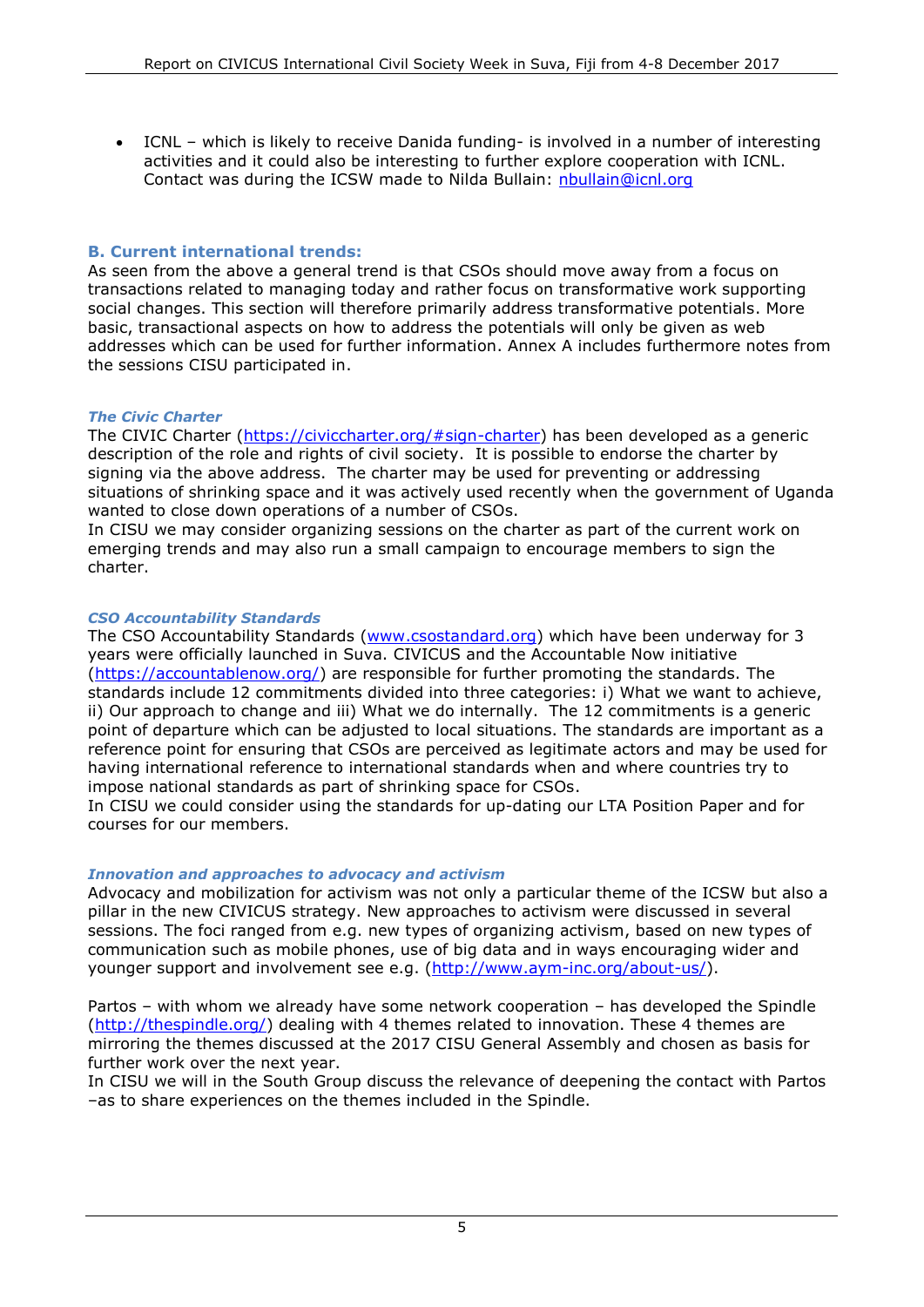ICNL – which is likely to receive Danida funding- is involved in a number of interesting activities and it could also be interesting to further explore cooperation with ICNL. Contact was during the ICSW made to Nilda Bullain: [nbullain@icnl.org](mailto:nbullain@icnl.org)

#### <span id="page-4-0"></span>**B. Current international trends:**

As seen from the above a general trend is that CSOs should move away from a focus on transactions related to managing today and rather focus on transformative work supporting social changes. This section will therefore primarily address transformative potentials. More basic, transactional aspects on how to address the potentials will only be given as web addresses which can be used for further information. Annex A includes furthermore notes from the sessions CISU participated in.

#### <span id="page-4-1"></span>*The Civic Charter*

The CIVIC Charter [\(https://civiccharter.org/#sign-charter\)](https://civiccharter.org/#sign-charter) has been developed as a generic description of the role and rights of civil society. It is possible to endorse the charter by signing via the above address. The charter may be used for preventing or addressing situations of shrinking space and it was actively used recently when the government of Uganda wanted to close down operations of a number of CSOs.

In CISU we may consider organizing sessions on the charter as part of the current work on emerging trends and may also run a small campaign to encourage members to sign the charter.

#### <span id="page-4-2"></span>*CSO Accountability Standards*

The CSO Accountability Standards [\(www.csostandard.org\)](http://www.csostandard.org/) which have been underway for 3 years were officially launched in Suva. CIVICUS and the Accountable Now initiative [\(https://accountablenow.org/\)](https://accountablenow.org/) are responsible for further promoting the standards. The standards include 12 commitments divided into three categories: i) What we want to achieve, ii) Our approach to change and iii) What we do internally. The 12 commitments is a generic point of departure which can be adjusted to local situations. The standards are important as a reference point for ensuring that CSOs are perceived as legitimate actors and may be used for having international reference to international standards when and where countries try to impose national standards as part of shrinking space for CSOs.

In CISU we could consider using the standards for up-dating our LTA Position Paper and for courses for our members.

#### <span id="page-4-3"></span>*Innovation and approaches to advocacy and activism*

Advocacy and mobilization for activism was not only a particular theme of the ICSW but also a pillar in the new CIVICUS strategy. New approaches to activism were discussed in several sessions. The foci ranged from e.g. new types of organizing activism, based on new types of communication such as mobile phones, use of big data and in ways encouraging wider and younger support and involvement see e.g. [\(http://www.aym-inc.org/about-us/\)](http://www.aym-inc.org/about-us/).

Partos – with whom we already have some network cooperation – has developed the Spindle [\(http://thespindle.org/\)](http://thespindle.org/) dealing with 4 themes related to innovation. These 4 themes are mirroring the themes discussed at the 2017 CISU General Assembly and chosen as basis for further work over the next year.

In CISU we will in the South Group discuss the relevance of deepening the contact with Partos –as to share experiences on the themes included in the Spindle.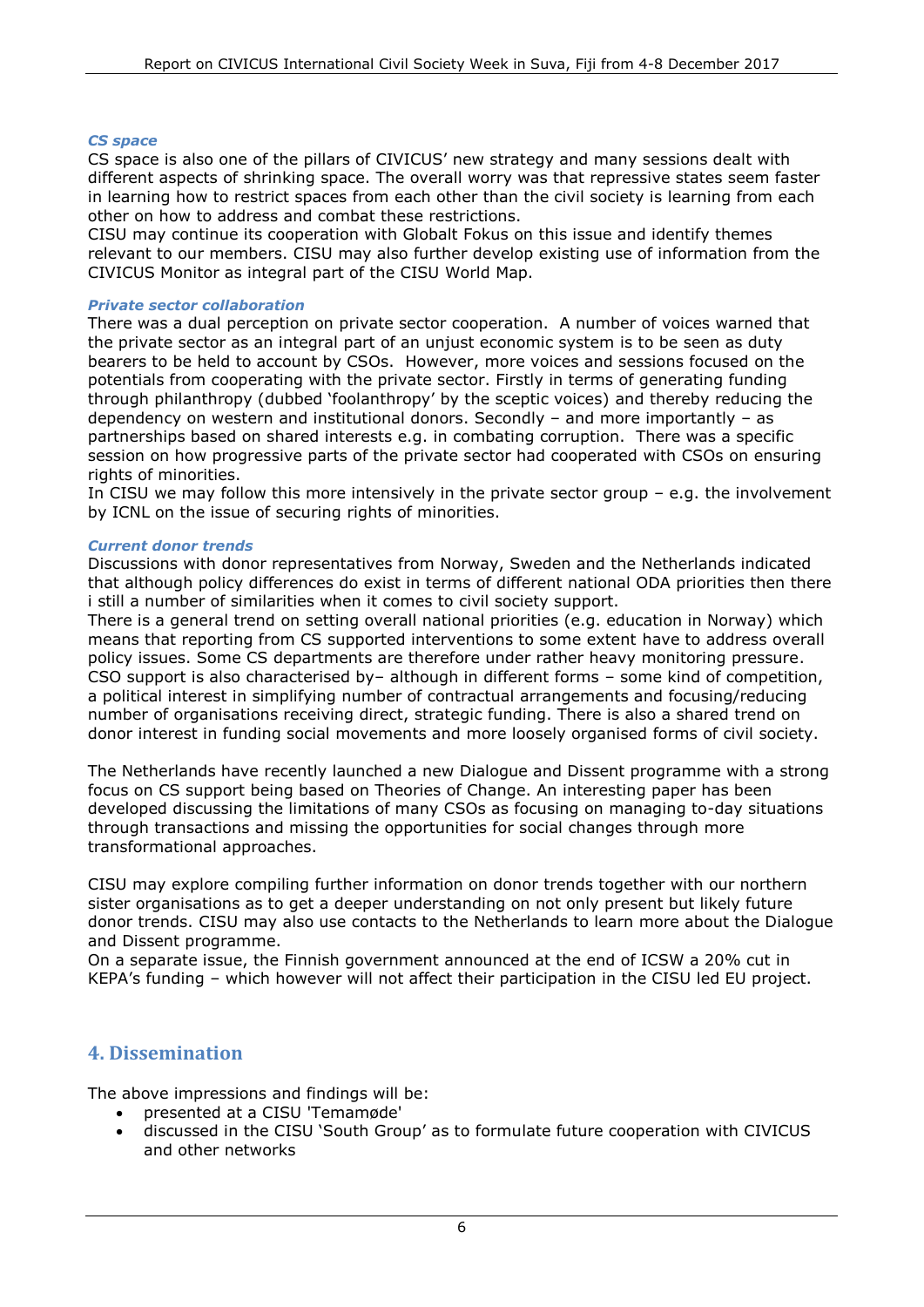#### <span id="page-5-0"></span>*CS space*

CS space is also one of the pillars of CIVICUS' new strategy and many sessions dealt with different aspects of shrinking space. The overall worry was that repressive states seem faster in learning how to restrict spaces from each other than the civil society is learning from each other on how to address and combat these restrictions.

CISU may continue its cooperation with Globalt Fokus on this issue and identify themes relevant to our members. CISU may also further develop existing use of information from the CIVICUS Monitor as integral part of the CISU World Map.

#### <span id="page-5-1"></span>*Private sector collaboration*

There was a dual perception on private sector cooperation. A number of voices warned that the private sector as an integral part of an unjust economic system is to be seen as duty bearers to be held to account by CSOs. However, more voices and sessions focused on the potentials from cooperating with the private sector. Firstly in terms of generating funding through philanthropy (dubbed 'foolanthropy' by the sceptic voices) and thereby reducing the dependency on western and institutional donors. Secondly – and more importantly – as partnerships based on shared interests e.g. in combating corruption. There was a specific session on how progressive parts of the private sector had cooperated with CSOs on ensuring rights of minorities.

In CISU we may follow this more intensively in the private sector group – e.g. the involvement by ICNL on the issue of securing rights of minorities.

#### <span id="page-5-2"></span>*Current donor trends*

Discussions with donor representatives from Norway, Sweden and the Netherlands indicated that although policy differences do exist in terms of different national ODA priorities then there i still a number of similarities when it comes to civil society support.

There is a general trend on setting overall national priorities (e.g. education in Norway) which means that reporting from CS supported interventions to some extent have to address overall policy issues. Some CS departments are therefore under rather heavy monitoring pressure. CSO support is also characterised by– although in different forms – some kind of competition, a political interest in simplifying number of contractual arrangements and focusing/reducing number of organisations receiving direct, strategic funding. There is also a shared trend on donor interest in funding social movements and more loosely organised forms of civil society.

The Netherlands have recently launched a new Dialogue and Dissent programme with a strong focus on CS support being based on Theories of Change. An interesting paper has been developed discussing the limitations of many CSOs as focusing on managing to-day situations through transactions and missing the opportunities for social changes through more transformational approaches.

CISU may explore compiling further information on donor trends together with our northern sister organisations as to get a deeper understanding on not only present but likely future donor trends. CISU may also use contacts to the Netherlands to learn more about the Dialogue and Dissent programme.

On a separate issue, the Finnish government announced at the end of ICSW a 20% cut in KEPA's funding – which however will not affect their participation in the CISU led EU project.

## <span id="page-5-3"></span>**4. Dissemination**

The above impressions and findings will be:

- presented at a CISU 'Temamøde'
- discussed in the CISU 'South Group' as to formulate future cooperation with CIVICUS and other networks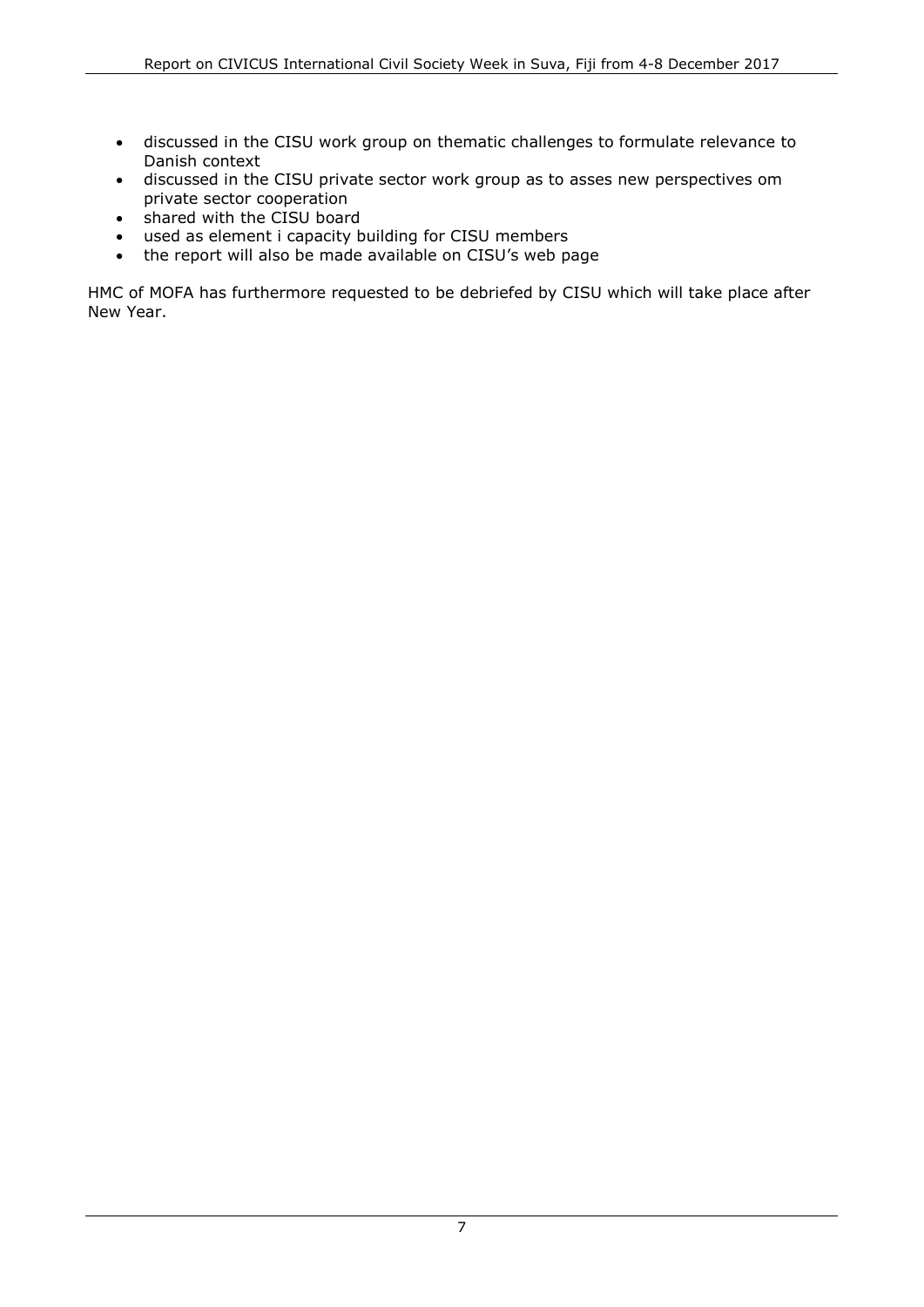- discussed in the CISU work group on thematic challenges to formulate relevance to Danish context
- discussed in the CISU private sector work group as to asses new perspectives om private sector cooperation
- shared with the CISU board
- used as element i capacity building for CISU members
- the report will also be made available on CISU's web page

HMC of MOFA has furthermore requested to be debriefed by CISU which will take place after New Year.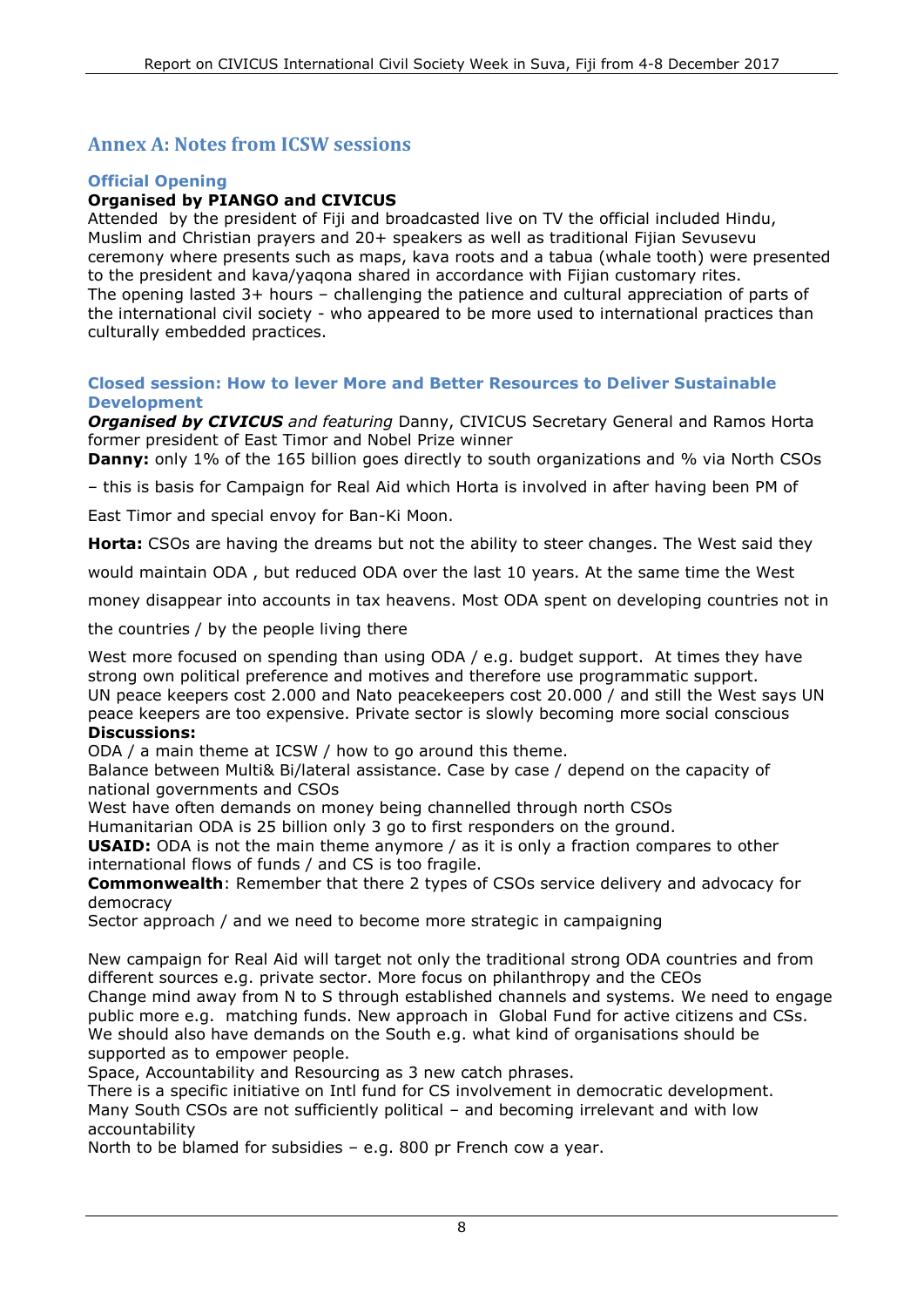## <span id="page-7-0"></span>**Annex A: Notes from ICSW sessions**

#### <span id="page-7-1"></span>**Official Opening**

### **Organised by PIANGO and CIVICUS**

Attended by the president of Fiji and broadcasted live on TV the official included Hindu, Muslim and Christian prayers and 20+ speakers as well as traditional Fijian Sevusevu ceremony where presents such as maps, kava roots and a tabua (whale tooth) were presented to the president and kava/yaqona shared in accordance with Fijian customary rites. The opening lasted 3+ hours – challenging the patience and cultural appreciation of parts of the international civil society - who appeared to be more used to international practices than culturally embedded practices.

#### <span id="page-7-2"></span>**Closed session: How to lever More and Better Resources to Deliver Sustainable Development**

*Organised by CIVICUS and featuring Danny, CIVICUS Secretary General and Ramos Horta* former president of East Timor and Nobel Prize winner

**Danny:** only 1% of the 165 billion goes directly to south organizations and % via North CSOs

– this is basis for Campaign for Real Aid which Horta is involved in after having been PM of

East Timor and special envoy for Ban-Ki Moon.

**Horta:** CSOs are having the dreams but not the ability to steer changes. The West said they

would maintain ODA , but reduced ODA over the last 10 years. At the same time the West

money disappear into accounts in tax heavens. Most ODA spent on developing countries not in

the countries / by the people living there

West more focused on spending than using ODA / e.g. budget support. At times they have strong own political preference and motives and therefore use programmatic support. UN peace keepers cost 2.000 and Nato peacekeepers cost 20.000 / and still the West says UN peace keepers are too expensive. Private sector is slowly becoming more social conscious **Discussions:**

ODA / a main theme at ICSW / how to go around this theme.

Balance between Multi& Bi/lateral assistance. Case by case / depend on the capacity of national governments and CSOs

West have often demands on money being channelled through north CSOs

Humanitarian ODA is 25 billion only 3 go to first responders on the ground.

**USAID:** ODA is not the main theme anymore / as it is only a fraction compares to other international flows of funds / and CS is too fragile.

**Commonwealth**: Remember that there 2 types of CSOs service delivery and advocacy for democracy

Sector approach / and we need to become more strategic in campaigning

New campaign for Real Aid will target not only the traditional strong ODA countries and from different sources e.g. private sector. More focus on philanthropy and the CEOs Change mind away from N to S through established channels and systems. We need to engage public more e.g. matching funds. New approach in Global Fund for active citizens and CSs. We should also have demands on the South e.g. what kind of organisations should be supported as to empower people.

Space, Accountability and Resourcing as 3 new catch phrases.

There is a specific initiative on Intl fund for CS involvement in democratic development. Many South CSOs are not sufficiently political – and becoming irrelevant and with low accountability

North to be blamed for subsidies – e.g. 800 pr French cow a year.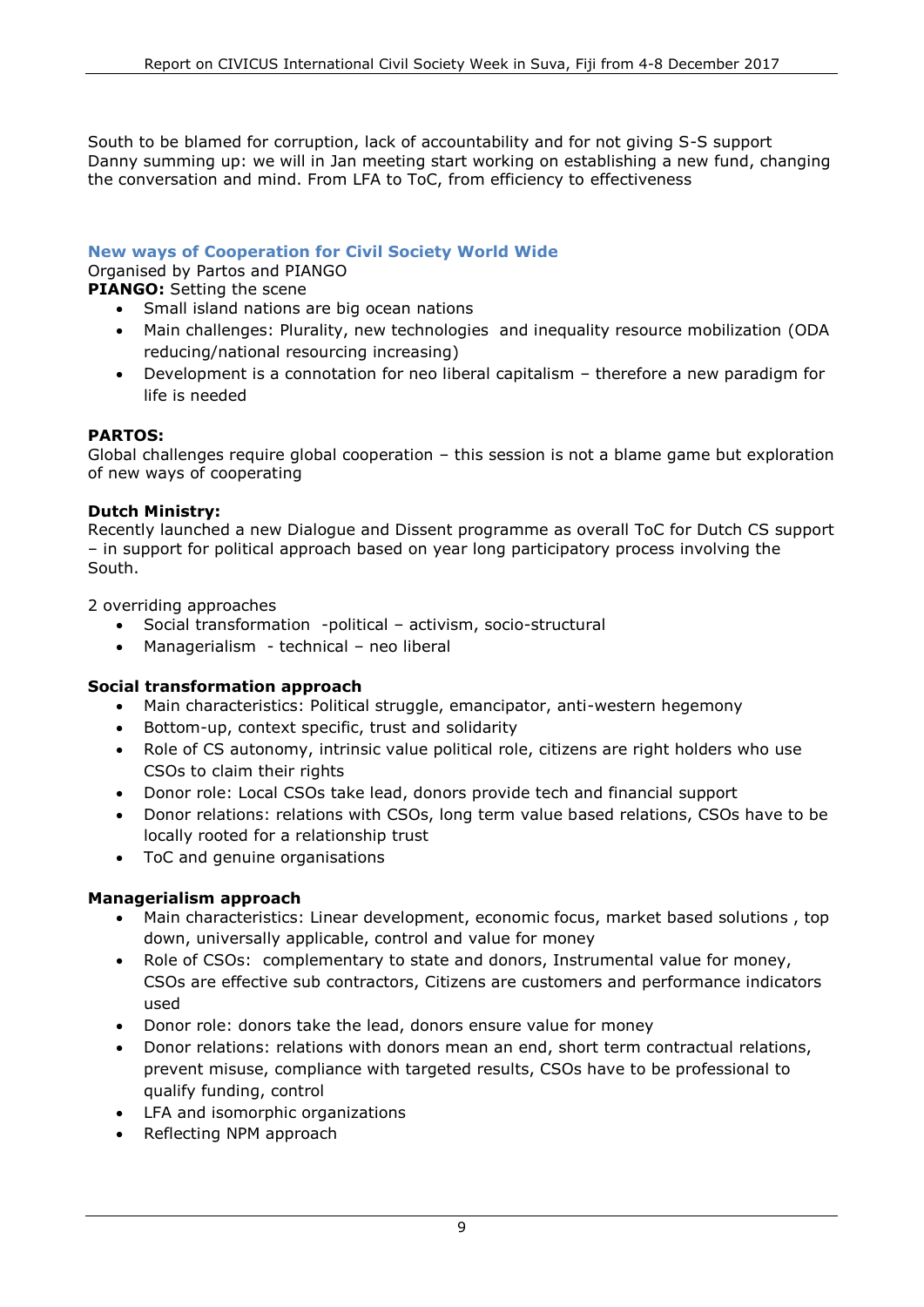South to be blamed for corruption, lack of accountability and for not giving S-S support Danny summing up: we will in Jan meeting start working on establishing a new fund, changing the conversation and mind. From LFA to ToC, from efficiency to effectiveness

#### <span id="page-8-0"></span>**New ways of Cooperation for Civil Society World Wide**

Organised by Partos and PIANGO

**PIANGO:** Setting the scene

- Small island nations are big ocean nations
- Main challenges: Plurality, new technologies and inequality resource mobilization (ODA reducing/national resourcing increasing)
- Development is a connotation for neo liberal capitalism therefore a new paradigm for life is needed

#### **PARTOS:**

Global challenges require global cooperation – this session is not a blame game but exploration of new ways of cooperating

#### **Dutch Ministry:**

Recently launched a new Dialogue and Dissent programme as overall ToC for Dutch CS support – in support for political approach based on year long participatory process involving the South.

2 overriding approaches

- Social transformation -political activism, socio-structural
- Managerialism technical neo liberal

#### **Social transformation approach**

- Main characteristics: Political struggle, emancipator, anti-western hegemony
- Bottom-up, context specific, trust and solidarity
- Role of CS autonomy, intrinsic value political role, citizens are right holders who use CSOs to claim their rights
- Donor role: Local CSOs take lead, donors provide tech and financial support
- Donor relations: relations with CSOs, long term value based relations, CSOs have to be locally rooted for a relationship trust
- ToC and genuine organisations

#### **Managerialism approach**

- Main characteristics: Linear development, economic focus, market based solutions , top down, universally applicable, control and value for money
- Role of CSOs: complementary to state and donors, Instrumental value for money, CSOs are effective sub contractors, Citizens are customers and performance indicators used
- Donor role: donors take the lead, donors ensure value for money
- Donor relations: relations with donors mean an end, short term contractual relations, prevent misuse, compliance with targeted results, CSOs have to be professional to qualify funding, control
- LFA and isomorphic organizations
- Reflecting NPM approach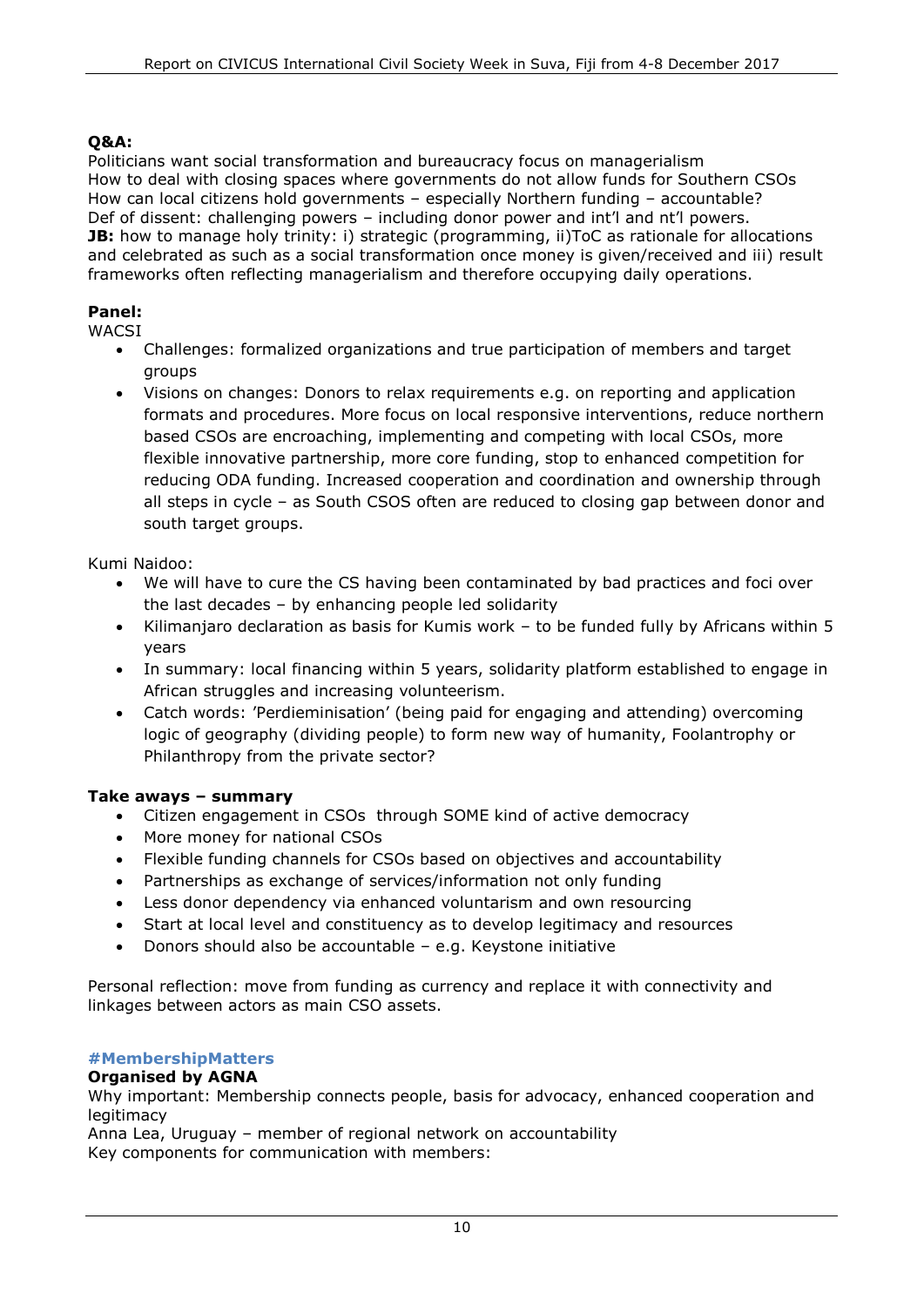## **Q&A:**

Politicians want social transformation and bureaucracy focus on managerialism How to deal with closing spaces where governments do not allow funds for Southern CSOs How can local citizens hold governments – especially Northern funding – accountable? Def of dissent: challenging powers – including donor power and int'l and nt'l powers. **JB:** how to manage holy trinity: i) strategic (programming, ii)ToC as rationale for allocations and celebrated as such as a social transformation once money is given/received and iii) result frameworks often reflecting managerialism and therefore occupying daily operations.

## **Panel:**

**WACSI** 

- Challenges: formalized organizations and true participation of members and target groups
- Visions on changes: Donors to relax requirements e.g. on reporting and application formats and procedures. More focus on local responsive interventions, reduce northern based CSOs are encroaching, implementing and competing with local CSOs, more flexible innovative partnership, more core funding, stop to enhanced competition for reducing ODA funding. Increased cooperation and coordination and ownership through all steps in cycle – as South CSOS often are reduced to closing gap between donor and south target groups.

Kumi Naidoo:

- We will have to cure the CS having been contaminated by bad practices and foci over the last decades – by enhancing people led solidarity
- Kilimanjaro declaration as basis for Kumis work to be funded fully by Africans within 5 years
- In summary: local financing within 5 years, solidarity platform established to engage in African struggles and increasing volunteerism.
- Catch words: 'Perdieminisation' (being paid for engaging and attending) overcoming logic of geography (dividing people) to form new way of humanity, Foolantrophy or Philanthropy from the private sector?

### **Take aways – summary**

- Citizen engagement in CSOs through SOME kind of active democracy
- More money for national CSOs
- Flexible funding channels for CSOs based on objectives and accountability
- Partnerships as exchange of services/information not only funding
- Less donor dependency via enhanced voluntarism and own resourcing
- Start at local level and constituency as to develop legitimacy and resources
- Donors should also be accountable e.g. Keystone initiative

Personal reflection: move from funding as currency and replace it with connectivity and linkages between actors as main CSO assets.

### <span id="page-9-0"></span>**#MembershipMatters**

### **Organised by AGNA**

Why important: Membership connects people, basis for advocacy, enhanced cooperation and legitimacy

Anna Lea, Uruguay – member of regional network on accountability Key components for communication with members: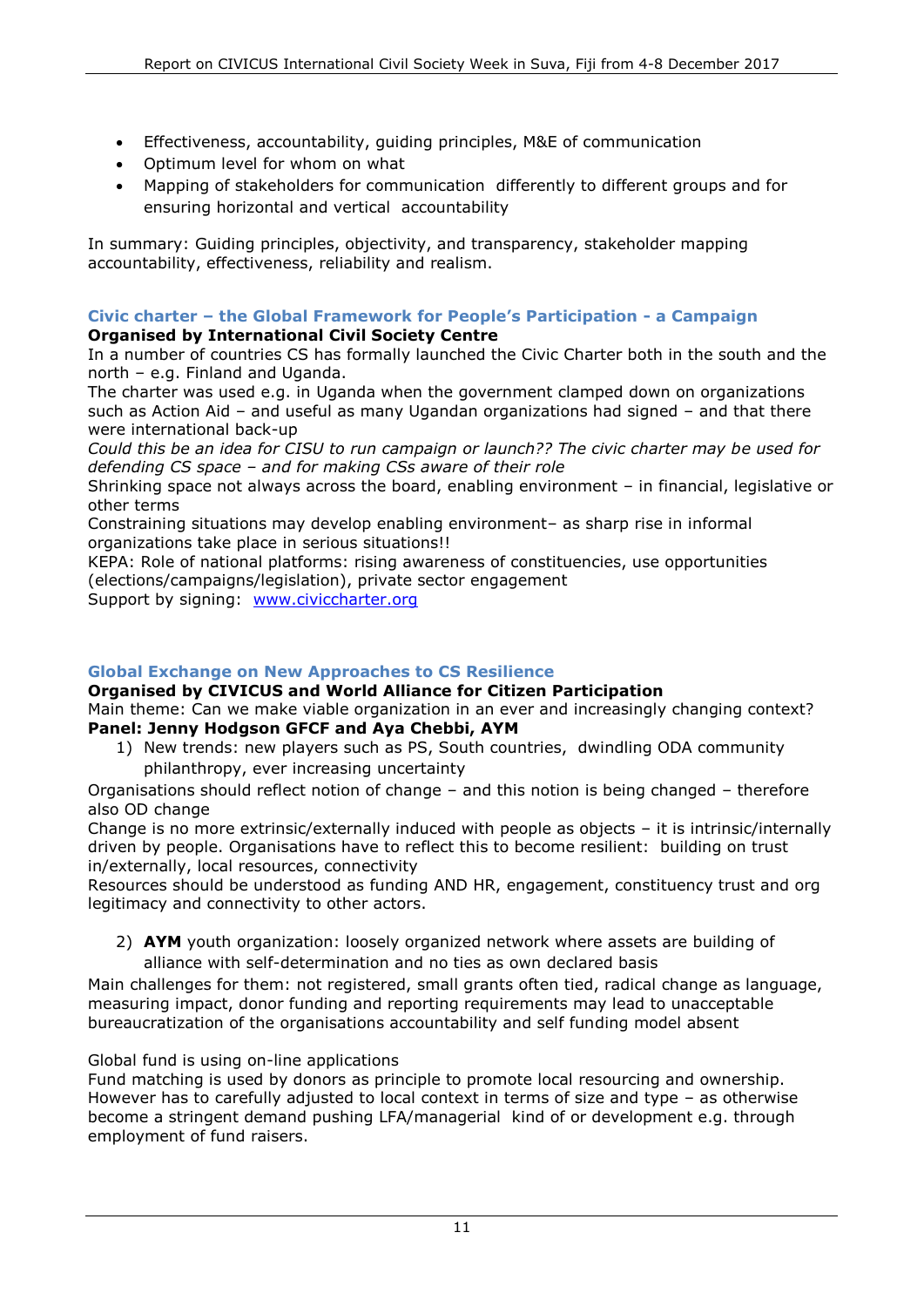- Effectiveness, accountability, guiding principles, M&E of communication
- Optimum level for whom on what
- Mapping of stakeholders for communication differently to different groups and for ensuring horizontal and vertical accountability

In summary: Guiding principles, objectivity, and transparency, stakeholder mapping accountability, effectiveness, reliability and realism.

# <span id="page-10-0"></span>**Civic charter – the Global Framework for People's Participation - a Campaign**

**Organised by International Civil Society Centre** In a number of countries CS has formally launched the Civic Charter both in the south and the north – e.g. Finland and Uganda.

The charter was used e.g. in Uganda when the government clamped down on organizations such as Action Aid – and useful as many Ugandan organizations had signed – and that there were international back-up

*Could this be an idea for CISU to run campaign or launch?? The civic charter may be used for defending CS space – and for making CSs aware of their role*

Shrinking space not always across the board, enabling environment – in financial, legislative or other terms

Constraining situations may develop enabling environment– as sharp rise in informal organizations take place in serious situations!!

KEPA: Role of national platforms: rising awareness of constituencies, use opportunities (elections/campaigns/legislation), private sector engagement Support by signing: [www.civiccharter.org](http://www.civiccharter.org/)

### <span id="page-10-1"></span>**Global Exchange on New Approaches to CS Resilience**

**Organised by CIVICUS and World Alliance for Citizen Participation** Main theme: Can we make viable organization in an ever and increasingly changing context? **Panel: Jenny Hodgson GFCF and Aya Chebbi, AYM**

1) New trends: new players such as PS, South countries, dwindling ODA community philanthropy, ever increasing uncertainty

Organisations should reflect notion of change – and this notion is being changed – therefore also OD change

Change is no more extrinsic/externally induced with people as objects – it is intrinsic/internally driven by people. Organisations have to reflect this to become resilient: building on trust in/externally, local resources, connectivity

Resources should be understood as funding AND HR, engagement, constituency trust and org legitimacy and connectivity to other actors.

2) **AYM** youth organization: loosely organized network where assets are building of alliance with self-determination and no ties as own declared basis

Main challenges for them: not registered, small grants often tied, radical change as language, measuring impact, donor funding and reporting requirements may lead to unacceptable bureaucratization of the organisations accountability and self funding model absent

### Global fund is using on-line applications

Fund matching is used by donors as principle to promote local resourcing and ownership. However has to carefully adjusted to local context in terms of size and type – as otherwise become a stringent demand pushing LFA/managerial kind of or development e.g. through employment of fund raisers.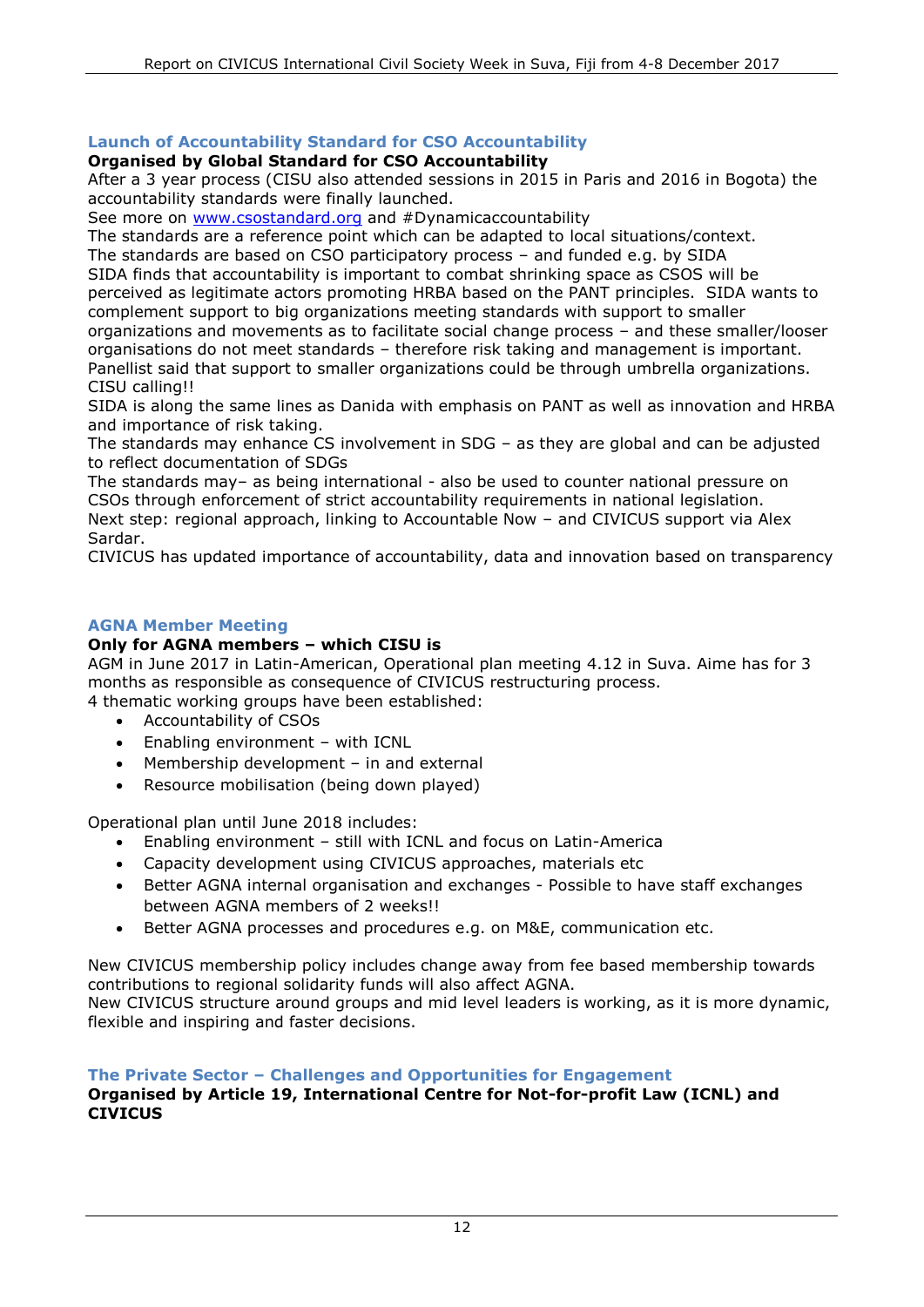### <span id="page-11-0"></span>**Launch of Accountability Standard for CSO Accountability**

#### **Organised by Global Standard for CSO Accountability**

After a 3 year process (CISU also attended sessions in 2015 in Paris and 2016 in Bogota) the accountability standards were finally launched.

See more on [www.csostandard.org](http://www.csostandard.org/) and #Dynamicaccountability

The standards are a reference point which can be adapted to local situations/context.

The standards are based on CSO participatory process – and funded e.g. by SIDA SIDA finds that accountability is important to combat shrinking space as CSOS will be perceived as legitimate actors promoting HRBA based on the PANT principles. SIDA wants to complement support to big organizations meeting standards with support to smaller organizations and movements as to facilitate social change process – and these smaller/looser organisations do not meet standards – therefore risk taking and management is important. Panellist said that support to smaller organizations could be through umbrella organizations. CISU calling!!

SIDA is along the same lines as Danida with emphasis on PANT as well as innovation and HRBA and importance of risk taking.

The standards may enhance CS involvement in SDG – as they are global and can be adjusted to reflect documentation of SDGs

The standards may– as being international - also be used to counter national pressure on CSOs through enforcement of strict accountability requirements in national legislation. Next step: regional approach, linking to Accountable Now – and CIVICUS support via Alex Sardar.

<span id="page-11-1"></span>CIVICUS has updated importance of accountability, data and innovation based on transparency

#### **AGNA Member Meeting**

#### **Only for AGNA members – which CISU is**

AGM in June 2017 in Latin-American, Operational plan meeting 4.12 in Suva. Aime has for 3 months as responsible as consequence of CIVICUS restructuring process.

4 thematic working groups have been established:

- Accountability of CSOs
- Enabling environment with ICNL
- Membership development in and external
- Resource mobilisation (being down played)

Operational plan until June 2018 includes:

- Enabling environment still with ICNL and focus on Latin-America
- Capacity development using CIVICUS approaches, materials etc
- Better AGNA internal organisation and exchanges Possible to have staff exchanges between AGNA members of 2 weeks!!
- Better AGNA processes and procedures e.g. on M&E, communication etc.

New CIVICUS membership policy includes change away from fee based membership towards contributions to regional solidarity funds will also affect AGNA.

New CIVICUS structure around groups and mid level leaders is working, as it is more dynamic, flexible and inspiring and faster decisions.

#### <span id="page-11-2"></span>**The Private Sector – Challenges and Opportunities for Engagement Organised by Article 19, International Centre for Not-for-profit Law (ICNL) and CIVICUS**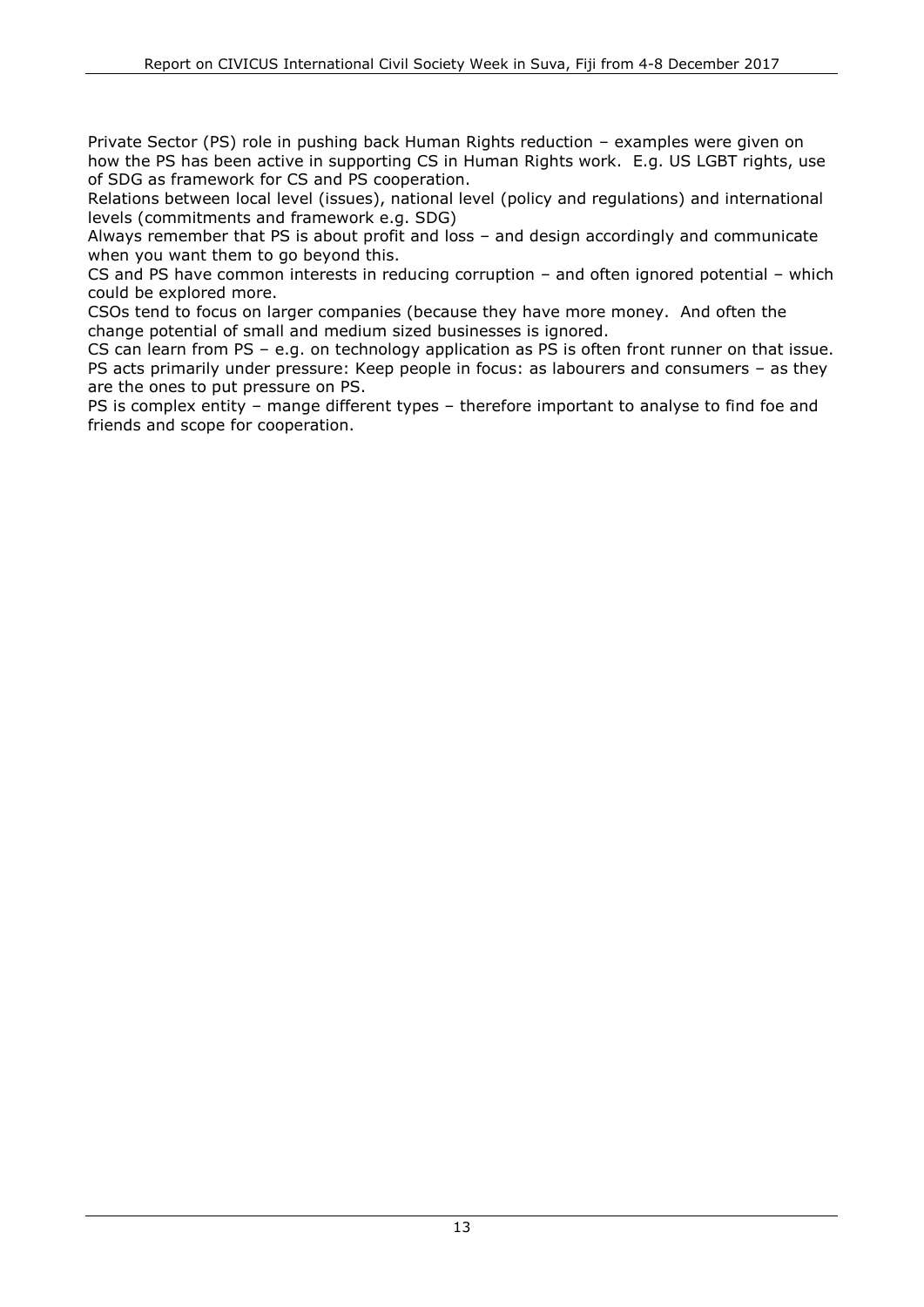Private Sector (PS) role in pushing back Human Rights reduction – examples were given on how the PS has been active in supporting CS in Human Rights work. E.g. US LGBT rights, use of SDG as framework for CS and PS cooperation.

Relations between local level (issues), national level (policy and regulations) and international levels (commitments and framework e.g. SDG)

Always remember that PS is about profit and loss – and design accordingly and communicate when you want them to go beyond this.

CS and PS have common interests in reducing corruption – and often ignored potential – which could be explored more.

CSOs tend to focus on larger companies (because they have more money. And often the change potential of small and medium sized businesses is ignored.

CS can learn from PS – e.g. on technology application as PS is often front runner on that issue. PS acts primarily under pressure: Keep people in focus: as labourers and consumers – as they are the ones to put pressure on PS.

<span id="page-12-0"></span>PS is complex entity – mange different types – therefore important to analyse to find foe and friends and scope for cooperation.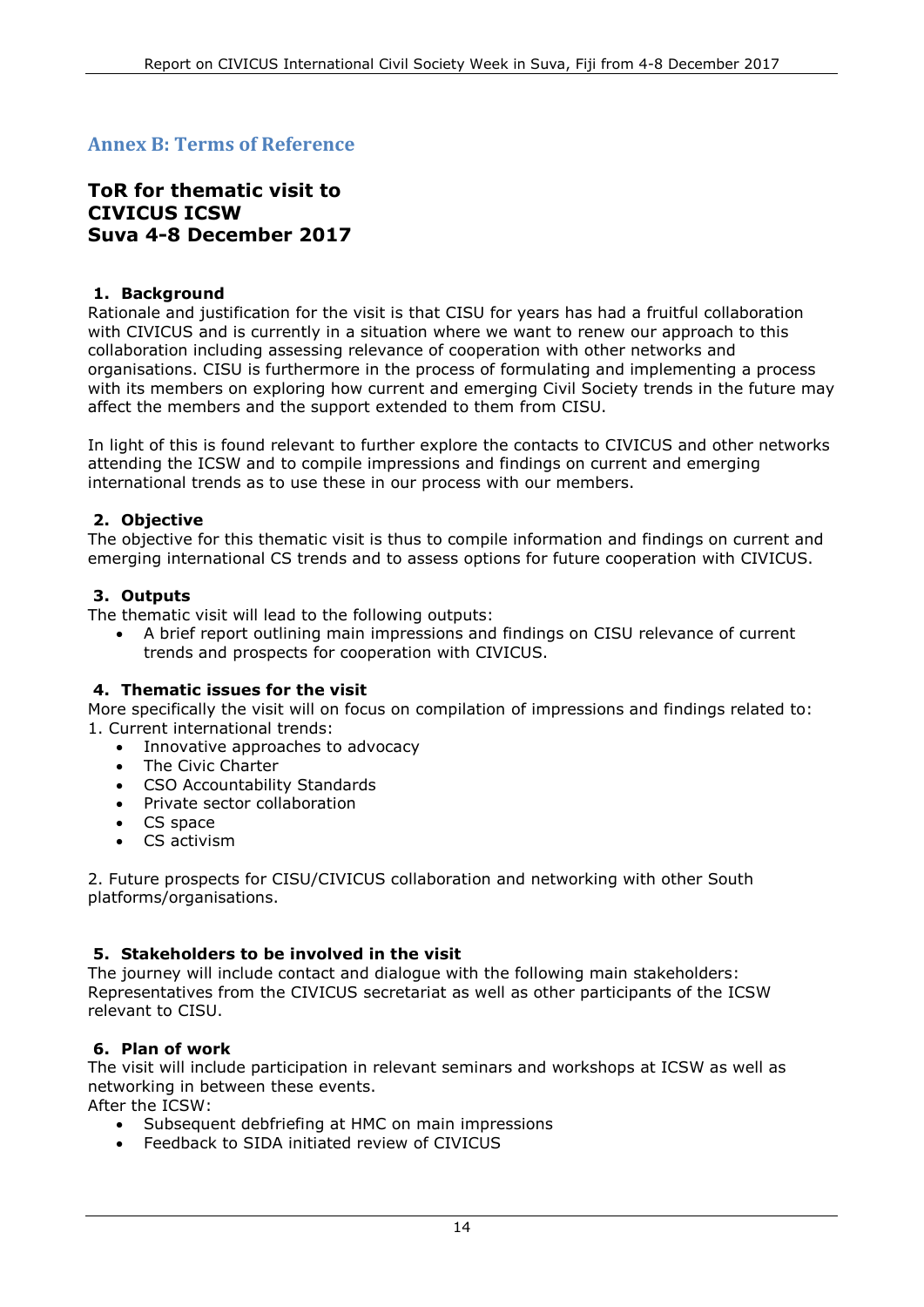## **Annex B: Terms of Reference**

## **ToR for thematic visit to CIVICUS ICSW Suva 4-8 December 2017**

#### **1. Background**

Rationale and justification for the visit is that CISU for years has had a fruitful collaboration with CIVICUS and is currently in a situation where we want to renew our approach to this collaboration including assessing relevance of cooperation with other networks and organisations. CISU is furthermore in the process of formulating and implementing a process with its members on exploring how current and emerging Civil Society trends in the future may affect the members and the support extended to them from CISU.

In light of this is found relevant to further explore the contacts to CIVICUS and other networks attending the ICSW and to compile impressions and findings on current and emerging international trends as to use these in our process with our members.

#### **2. Objective**

The objective for this thematic visit is thus to compile information and findings on current and emerging international CS trends and to assess options for future cooperation with CIVICUS.

#### **3. Outputs**

The thematic visit will lead to the following outputs:

 A brief report outlining main impressions and findings on CISU relevance of current trends and prospects for cooperation with CIVICUS.

#### **4. Thematic issues for the visit**

More specifically the visit will on focus on compilation of impressions and findings related to: 1. Current international trends:

- Innovative approaches to advocacy
- The Civic Charter
- CSO Accountability Standards
- Private sector collaboration
- CS space
- CS activism

2. Future prospects for CISU/CIVICUS collaboration and networking with other South platforms/organisations.

#### **5. Stakeholders to be involved in the visit**

The journey will include contact and dialogue with the following main stakeholders: Representatives from the CIVICUS secretariat as well as other participants of the ICSW relevant to CISU.

#### **6. Plan of work**

The visit will include participation in relevant seminars and workshops at ICSW as well as networking in between these events.

After the ICSW:

- Subsequent debfriefing at HMC on main impressions
- Feedback to SIDA initiated review of CIVICUS